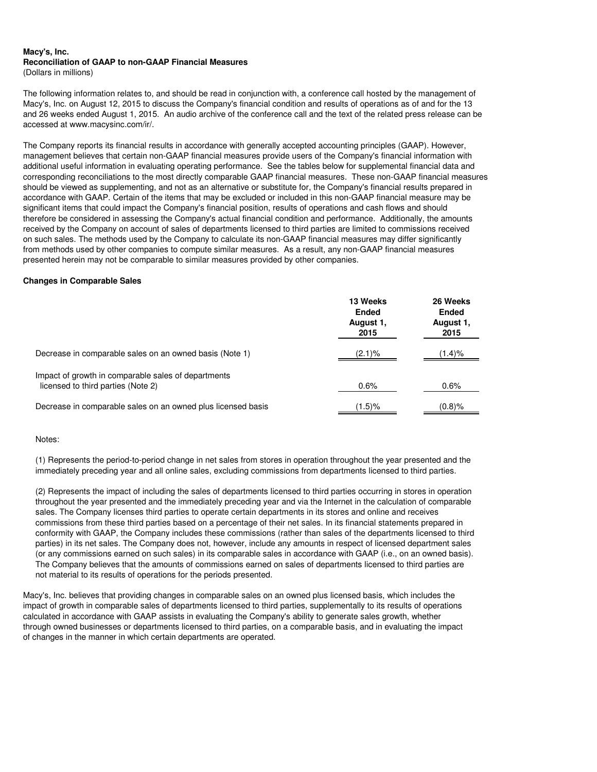#### **Macy's, Inc. Reconciliation of GAAP to non-GAAP Financial Measures** (Dollars in millions)

The following information relates to, and should be read in conjunction with, a conference call hosted by the management of Macy's, Inc. on August 12, 2015 to discuss the Company's financial condition and results of operations as of and for the 13 and 26 weeks ended August 1, 2015. An audio archive of the conference call and the text of the related press release can be accessed at www.macysinc.com/ir/.

The Company reports its financial results in accordance with generally accepted accounting principles (GAAP). However, management believes that certain non-GAAP financial measures provide users of the Company's financial information with additional useful information in evaluating operating performance. See the tables below for supplemental financial data and corresponding reconciliations to the most directly comparable GAAP financial measures. These non-GAAP financial measures should be viewed as supplementing, and not as an alternative or substitute for, the Company's financial results prepared in accordance with GAAP. Certain of the items that may be excluded or included in this non-GAAP financial measure may be significant items that could impact the Company's financial position, results of operations and cash flows and should therefore be considered in assessing the Company's actual financial condition and performance. Additionally, the amounts received by the Company on account of sales of departments licensed to third parties are limited to commissions received on such sales. The methods used by the Company to calculate its non-GAAP financial measures may differ significantly from methods used by other companies to compute similar measures. As a result, any non-GAAP financial measures presented herein may not be comparable to similar measures provided by other companies.

## **Changes in Comparable Sales**

|                                                                                           | 13 Weeks<br><b>Ended</b><br>August 1,<br>2015 | 26 Weeks<br><b>Ended</b><br>August 1,<br>2015 |
|-------------------------------------------------------------------------------------------|-----------------------------------------------|-----------------------------------------------|
| Decrease in comparable sales on an owned basis (Note 1)                                   | (2.1)%                                        | $(1.4)\%$                                     |
| Impact of growth in comparable sales of departments<br>licensed to third parties (Note 2) | 0.6%                                          | 0.6%                                          |
| Decrease in comparable sales on an owned plus licensed basis                              | $(1.5)\%$                                     | $(0.8)$ %                                     |

## Notes:

(1) Represents the period-to-period change in net sales from stores in operation throughout the year presented and the immediately preceding year and all online sales, excluding commissions from departments licensed to third parties.

(2) Represents the impact of including the sales of departments licensed to third parties occurring in stores in operation throughout the year presented and the immediately preceding year and via the Internet in the calculation of comparable sales. The Company licenses third parties to operate certain departments in its stores and online and receives commissions from these third parties based on a percentage of their net sales. In its financial statements prepared in conformity with GAAP, the Company includes these commissions (rather than sales of the departments licensed to third parties) in its net sales. The Company does not, however, include any amounts in respect of licensed department sales (or any commissions earned on such sales) in its comparable sales in accordance with GAAP (i.e., on an owned basis). The Company believes that the amounts of commissions earned on sales of departments licensed to third parties are not material to its results of operations for the periods presented.

Macy's, Inc. believes that providing changes in comparable sales on an owned plus licensed basis, which includes the impact of growth in comparable sales of departments licensed to third parties, supplementally to its results of operations calculated in accordance with GAAP assists in evaluating the Company's ability to generate sales growth, whether through owned businesses or departments licensed to third parties, on a comparable basis, and in evaluating the impact of changes in the manner in which certain departments are operated.